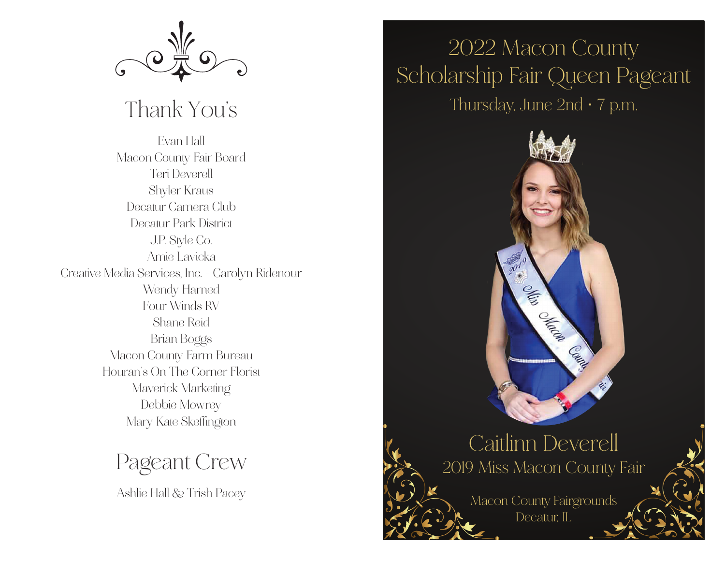

## Thank You's

**Evan Hall Macon County Fair Board Teri Deverell Shyler Kraus Decatur Camera Club Decatur Park District J.P. Style Co. Amie Lavicka Creative Media Services, Inc. - Carolyn Ridenour Wendy Harned Four Winds RV Shane Reid Brian Boggs Macon County Farm Bureau Houran's On The Corner Florist Maverick Marketing Debbie Mowrey Mary Kate Skeffington**

Pageant Crew

Ashlie Hall & Trish Pacey

## 2022 Macon County Scholarship Fair Queen Pageant Thursday, June  $2nd \cdot 7$  p.m.



## Caitlinn Deverell 2019 Miss Macon County Fair